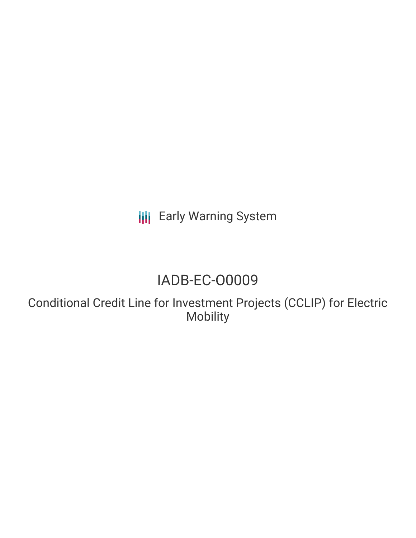**III** Early Warning System

# IADB-EC-O0009

Conditional Credit Line for Investment Projects (CCLIP) for Electric Mobility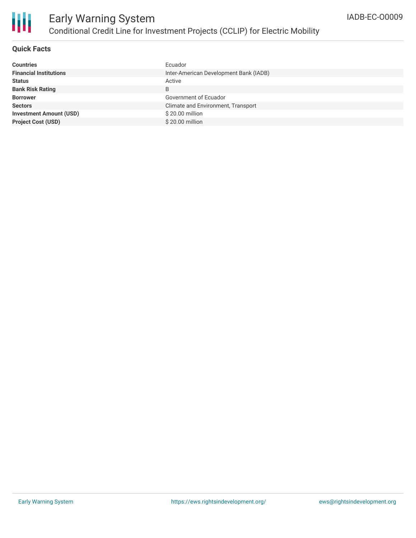

## **Quick Facts**

| <b>Countries</b>               | Ecuador                                |
|--------------------------------|----------------------------------------|
| <b>Financial Institutions</b>  | Inter-American Development Bank (IADB) |
| <b>Status</b>                  | Active                                 |
| <b>Bank Risk Rating</b>        | B                                      |
| <b>Borrower</b>                | Government of Ecuador                  |
| <b>Sectors</b>                 | Climate and Environment, Transport     |
| <b>Investment Amount (USD)</b> | \$20.00 million                        |
| <b>Project Cost (USD)</b>      | \$20.00 million                        |
|                                |                                        |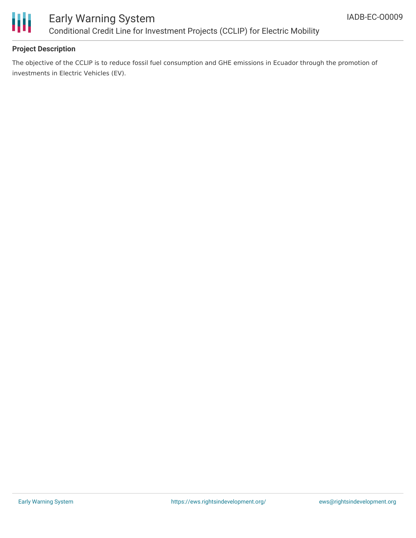

# Early Warning System Conditional Credit Line for Investment Projects (CCLIP) for Electric Mobility

## **Project Description**

The objective of the CCLIP is to reduce fossil fuel consumption and GHE emissions in Ecuador through the promotion of investments in Electric Vehicles (EV).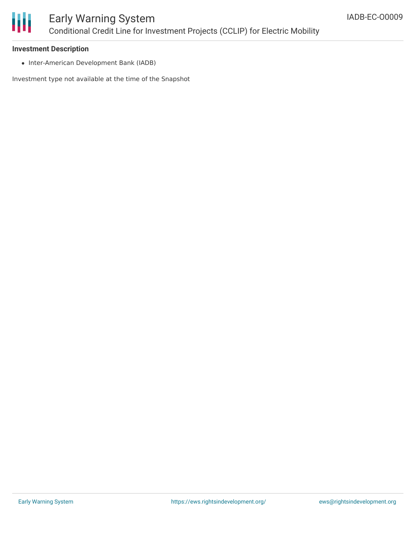

#### **Investment Description**

• Inter-American Development Bank (IADB)

Investment type not available at the time of the Snapshot